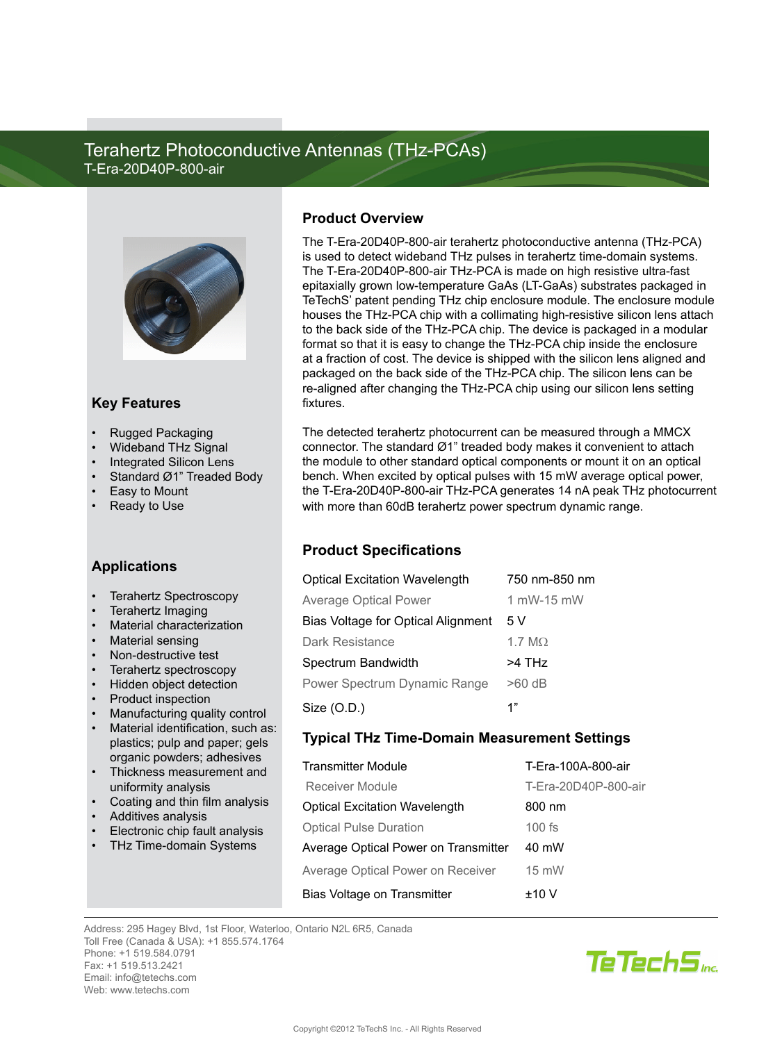# Terahertz Photoconductive Antennas (THz-PCAs) T-Era-20D40P-800-air



#### **Key Features**

- **Rugged Packaging**
- Wideband THz Signal
- **Integrated Silicon Lens**
- Standard Ø1" Treaded Body
- Easy to Mount
- **Ready to Use**

### **Applications**

- Terahertz Spectroscopy
- Terahertz Imaging
- **Material characterization**
- **Material sensing**
- Non-destructive test
- Terahertz spectroscopy
- **Hidden object detection**
- Product inspection
- Manufacturing quality control
- Material identification, such as: plastics; pulp and paper; gels organic powders; adhesives
- Thickness measurement and uniformity analysis
- Coating and thin film analysis
- Additives analysis
- Electronic chip fault analysis
- THz Time-domain Systems

#### **Product Overview**

The T-Era-20D40P-800-air terahertz photoconductive antenna (THz-PCA) is used to detect wideband THz pulses in terahertz time-domain systems. The T-Era-20D40P-800-air THz-PCA is made on high resistive ultra-fast epitaxially grown low-temperature GaAs (LT-GaAs) substrates packaged in TeTechS' patent pending THz chip enclosure module. The enclosure module houses the THz-PCA chip with a collimating high-resistive silicon lens attach to the back side of the THz-PCA chip. The device is packaged in a modular format so that it is easy to change the THz-PCA chip inside the enclosure at a fraction of cost. The device is shipped with the silicon lens aligned and packaged on the back side of the THz-PCA chip. The silicon lens can be re-aligned after changing the THz-PCA chip using our silicon lens setting fixtures.

The detected terahertz photocurrent can be measured through a MMCX connector. The standard Ø1" treaded body makes it convenient to attach the module to other standard optical components or mount it on an optical bench. When excited by optical pulses with 15 mW average optical power, the T-Era-20D40P-800-air THz-PCA generates 14 nA peak THz photocurrent with more than 60dB terahertz power spectrum dynamic range.

# **Product Specifications**

| <b>Optical Excitation Wavelength</b>      | 750 nm-850 nm |
|-------------------------------------------|---------------|
| <b>Average Optical Power</b>              | 1 mW-15 mW    |
| <b>Bias Voltage for Optical Alignment</b> | 5 V           |
| <b>Dark Resistance</b>                    | 1.7 $M\Omega$ |
| Spectrum Bandwidth                        | >4 THz        |
| Power Spectrum Dynamic Range              | $>60$ dB      |
| Size $(O.D.)$                             | 1"            |

# **Typical THz Time-Domain Measurement Settings**

| <b>Transmitter Module</b>                | T-Era-100A-800-air   |
|------------------------------------------|----------------------|
| <b>Receiver Module</b>                   | T-Era-20D40P-800-air |
| <b>Optical Excitation Wavelength</b>     | 800 nm               |
| <b>Optical Pulse Duration</b>            | $100$ fs             |
| Average Optical Power on Transmitter     | 40 mW                |
| <b>Average Optical Power on Receiver</b> | 15 mW                |
| <b>Bias Voltage on Transmitter</b>       | ±10V                 |

Address: 295 Hagey Blvd, 1st Floor, Waterloo, Ontario N2L 6R5, Canada Toll Free (Canada & USA): +1 855.574.1764 Phone: +1 519.584.0791 Fax: +1 519.513.2421 Email: info@tetechs.com Web: www.tetechs.com